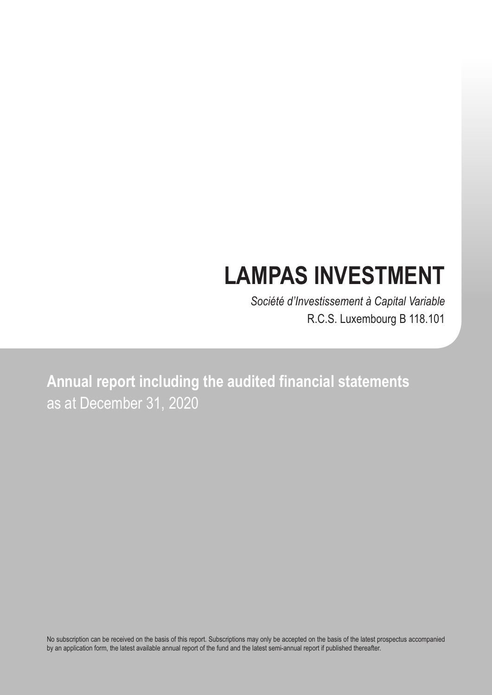# **LAMPAS INVESTMENT**

*Société d'Investissement à Capital Variable* R.C.S. Luxembourg B 118.101

**Annual report including the audited financial statements** as at December 31, 2020

No subscription can be received on the basis of this report. Subscriptions may only be accepted on the basis of the latest prospectus accompanied by an application form, the latest available annual report of the fund and the latest semi-annual report if published thereafter.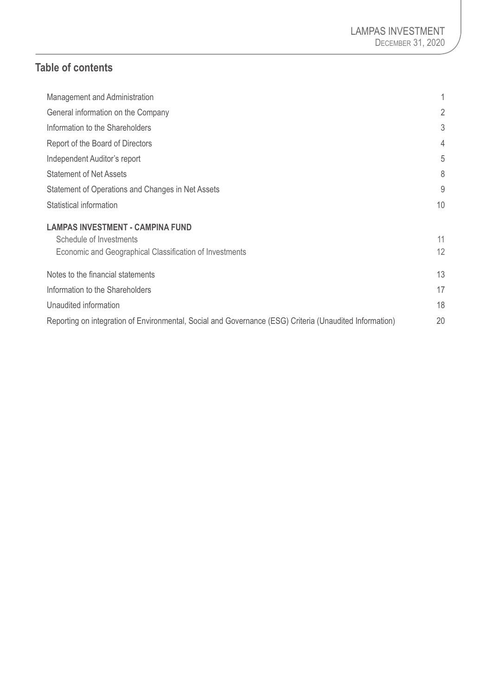# **Table of contents**

| Management and Administration                                                                           |    |
|---------------------------------------------------------------------------------------------------------|----|
| General information on the Company                                                                      | 2  |
| Information to the Shareholders                                                                         | 3  |
| Report of the Board of Directors                                                                        | 4  |
| Independent Auditor's report                                                                            | 5  |
| <b>Statement of Net Assets</b>                                                                          | 8  |
| Statement of Operations and Changes in Net Assets                                                       | 9  |
| Statistical information                                                                                 | 10 |
| <b>LAMPAS INVESTMENT - CAMPINA FUND</b>                                                                 |    |
| Schedule of Investments                                                                                 | 11 |
| Economic and Geographical Classification of Investments                                                 | 12 |
| Notes to the financial statements                                                                       | 13 |
| Information to the Shareholders                                                                         | 17 |
| Unaudited information                                                                                   | 18 |
| Reporting on integration of Environmental, Social and Governance (ESG) Criteria (Unaudited Information) | 20 |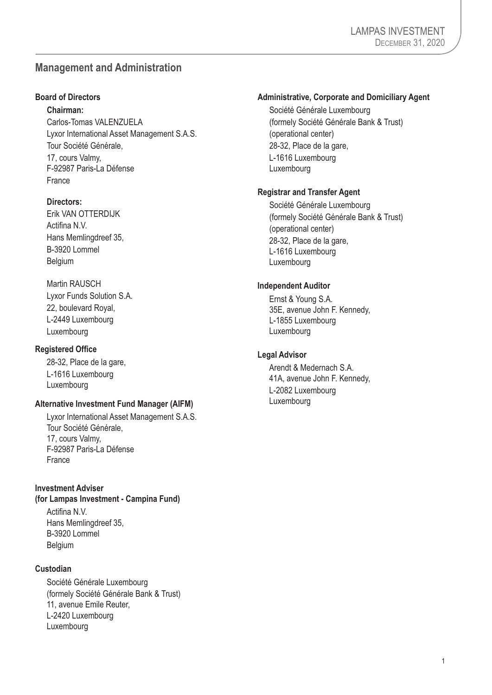# <span id="page-2-0"></span>**Management and Administration**

#### **Board of Directors**

**Chairman:**

Carlos-Tomas VALENZUELA Lyxor International Asset Management S.A.S. Tour Société Générale, 17, cours Valmy, F-92987 Paris-La Défense France

#### **Directors:**

Erik VAN OTTERDIJK Actifina N.V. Hans Memlingdreef 35, B-3920 Lommel **Belgium** 

#### Martin RAUSCH

Lyxor Funds Solution S.A. 22, boulevard Royal, L-2449 Luxembourg Luxembourg

#### **Registered Office**

28-32, Place de la gare, L-1616 Luxembourg Luxembourg

#### **Alternative Investment Fund Manager (AIFM)**

Lyxor International Asset Management S.A.S. Tour Société Générale, 17, cours Valmy, F-92987 Paris-La Défense France

#### **Investment Adviser**

**(for Lampas Investment - Campina Fund)**

Actifina N.V. Hans Memlingdreef 35, B-3920 Lommel **Belgium** 

#### **Custodian**

Société Générale Luxembourg (formely Société Générale Bank & Trust) 11, avenue Emile Reuter, L-2420 Luxembourg Luxembourg

#### **Administrative, Corporate and Domiciliary Agent**

Société Générale Luxembourg (formely Société Générale Bank & Trust) (operational center) 28-32, Place de la gare, L-1616 Luxembourg Luxembourg

#### **Registrar and Transfer Agent**

Société Générale Luxembourg (formely Société Générale Bank & Trust) (operational center) 28-32, Place de la gare, L-1616 Luxembourg Luxembourg

#### **Independent Auditor**

Ernst & Young S.A. 35E, avenue John F. Kennedy, L-1855 Luxembourg Luxembourg

#### **Legal Advisor**

Arendt & Medernach S.A. 41A, avenue John F. Kennedy, L-2082 Luxembourg Luxembourg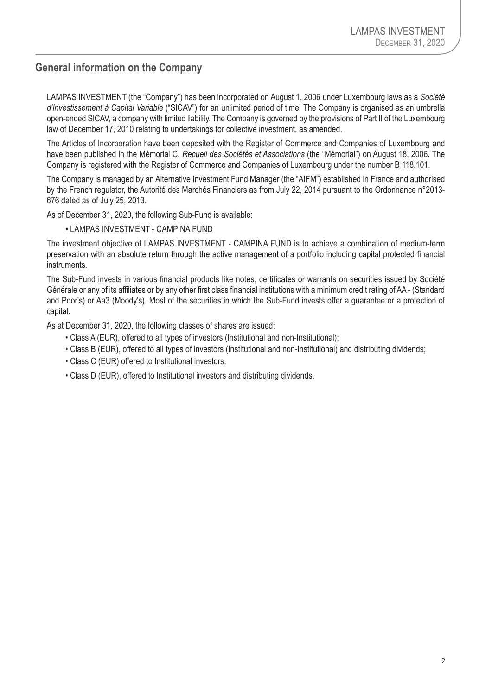# <span id="page-3-0"></span>**General information on the Company**

LAMPAS INVESTMENT (the "Company") has been incorporated on August 1, 2006 under Luxembourg laws as a *Société d'Investissement à Capital Variable* ("SICAV") for an unlimited period of time. The Company is organised as an umbrella open-ended SICAV, a company with limited liability. The Company is governed by the provisions of Part II of the Luxembourg law of December 17, 2010 relating to undertakings for collective investment, as amended.

The Articles of Incorporation have been deposited with the Register of Commerce and Companies of Luxembourg and have been published in the Mémorial C, *Recueil des Sociétés et Associations* (the "Mémorial") on August 18, 2006. The Company is registered with the Register of Commerce and Companies of Luxembourg under the number B 118.101.

The Company is managed by an Alternative Investment Fund Manager (the "AIFM") established in France and authorised by the French regulator, the Autorité des Marchés Financiers as from July 22, 2014 pursuant to the Ordonnance n°2013- 676 dated as of July 25, 2013.

As of December 31, 2020, the following Sub-Fund is available:

• LAMPAS INVESTMENT - CAMPINA FUND

The investment objective of LAMPAS INVESTMENT - CAMPINA FUND is to achieve a combination of medium-term preservation with an absolute return through the active management of a portfolio including capital protected financial instruments.

The Sub-Fund invests in various financial products like notes, certificates or warrants on securities issued by Société Générale or any of its affiliates or by any other first class financial institutions with a minimum credit rating of AA - (Standard and Poor's) or Aa3 (Moody's). Most of the securities in which the Sub-Fund invests offer a guarantee or a protection of capital.

As at December 31, 2020, the following classes of shares are issued:

- Class A (EUR), offered to all types of investors (Institutional and non-Institutional);
- Class B (EUR), offered to all types of investors (Institutional and non-Institutional) and distributing dividends;
- Class C (EUR) offered to Institutional investors,
- Class D (EUR), offered to Institutional investors and distributing dividends.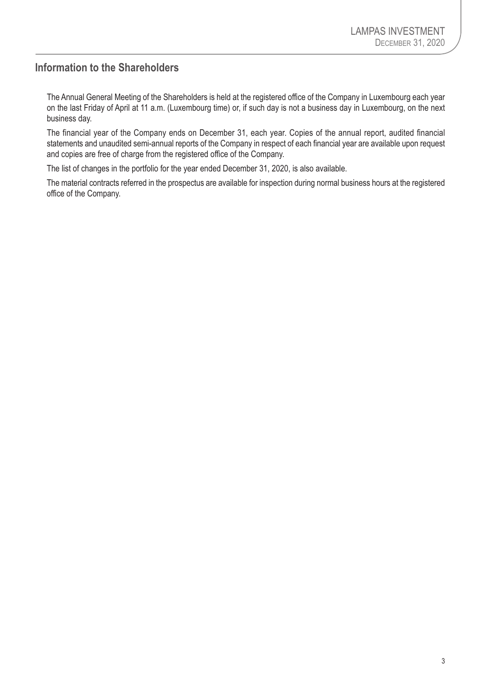# <span id="page-4-0"></span>**Information to the Shareholders**

The Annual General Meeting of the Shareholders is held at the registered office of the Company in Luxembourg each year on the last Friday of April at 11 a.m. (Luxembourg time) or, if such day is not a business day in Luxembourg, on the next business day.

The financial year of the Company ends on December 31, each year. Copies of the annual report, audited financial statements and unaudited semi-annual reports of the Company in respect of each financial year are available upon request and copies are free of charge from the registered office of the Company.

The list of changes in the portfolio for the year ended December 31, 2020, is also available.

The material contracts referred in the prospectus are available for inspection during normal business hours at the registered office of the Company.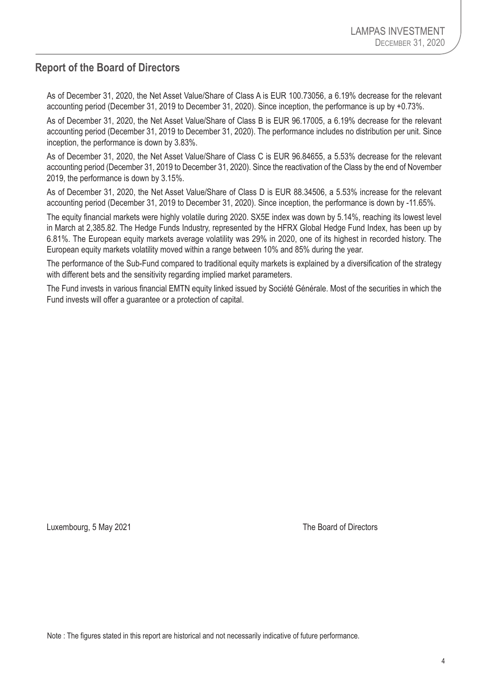# <span id="page-5-0"></span>**Report of the Board of Directors**

As of December 31, 2020, the Net Asset Value/Share of Class A is EUR 100.73056, a 6.19% decrease for the relevant accounting period (December 31, 2019 to December 31, 2020). Since inception, the performance is up by +0.73%.

As of December 31, 2020, the Net Asset Value/Share of Class B is EUR 96.17005, a 6.19% decrease for the relevant accounting period (December 31, 2019 to December 31, 2020). The performance includes no distribution per unit. Since inception, the performance is down by 3.83%.

As of December 31, 2020, the Net Asset Value/Share of Class C is EUR 96.84655, a 5.53% decrease for the relevant accounting period (December 31, 2019 to December 31, 2020). Since the reactivation of the Class by the end of November 2019, the performance is down by 3.15%.

As of December 31, 2020, the Net Asset Value/Share of Class D is EUR 88.34506, a 5.53% increase for the relevant accounting period (December 31, 2019 to December 31, 2020). Since inception, the performance is down by -11.65%.

The equity financial markets were highly volatile during 2020. SX5E index was down by 5.14%, reaching its lowest level in March at 2,385.82. The Hedge Funds Industry, represented by the HFRX Global Hedge Fund Index, has been up by 6.81%. The European equity markets average volatility was 29% in 2020, one of its highest in recorded history. The European equity markets volatility moved within a range between 10% and 85% during the year.

The performance of the Sub-Fund compared to traditional equity markets is explained by a diversification of the strategy with different bets and the sensitivity regarding implied market parameters.

The Fund invests in various financial EMTN equity linked issued by Société Générale. Most of the securities in which the Fund invests will offer a guarantee or a protection of capital.

Luxembourg, 5 May 2021 **The Board of Directors** 

Note : The figures stated in this report are historical and not necessarily indicative of future performance.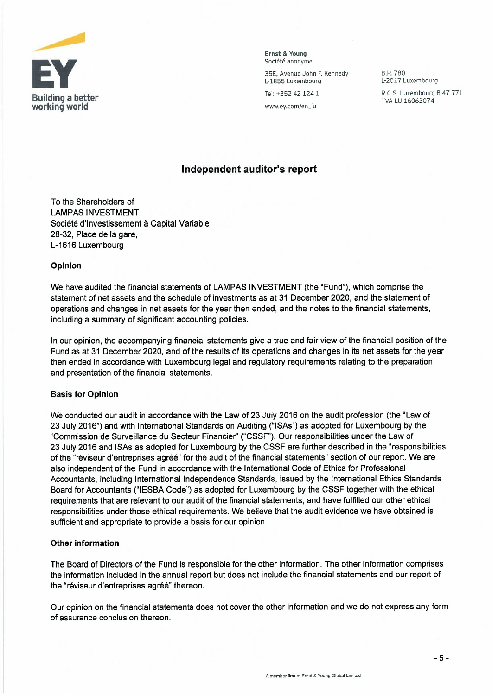

Ernst & Young **Ernst & Young**  Societe anonyme Société anonyme

35E. Avenue John F. Kennedy 35E, Avenue John F. Kennedy L-1855 Luxembourg

Tel: +352 42 124 1

www.ey.com/en\_\_Iu

B.P.780 B.P. 780 L-2017 Luxembourg L-2017 Luxembourg R.C.S. Luxembourg B 47 771 R.C.S. Luxembourg B 47 771 TVA LU 16063074 TVA LU 16063074

#### Independent auditor's report **Independent auditor's report**

To the Shareholders of LAMPAS INVESTMENT Société d'Investissement à Capital Variable 28-32, Place de la gare, L-1616 Luxembourg

#### Opinion **Opinion**

We have audited the financial statements of LAMPAS INVESTMENT (the "Fund"), which comprise the We have audited the financial statements of LAMPAS INVESTMENT (the "Fund"), which comprise the statement of net assets and the schedule of investments as at 31 December 2020, and the statement of statement of net assets and the schedule of investments as at 31 December 2020, and the statement of operations and changes in net assets for the year then ended, and the notes to the financial statements, operations and changes in net assets for the year then ended, and the notes to the financial statements, including a summary of significant accounting policies. including a summary of significant accounting policies.

In our opinion, the accompanying financial statements give a true and fair view of the financial position of the Fund as at 31 December 2020, and of the results of its operations and changes in its net assets for the year Fund as at 31 December 2020, and of the results of its operations and changes in its net assets for the year then ended in accordance with Luxembourg legal and regulatory requirements relating to the preparation then ended in accordance with Luxembourg legal and regulatory requirements relating to the preparation and presentation of the financial statements. and presentation of the financial statements.

#### Basis for Opinion **Basis for Opinion**

We conducted our audit in accordance with the Law of 23 July 2016 on the audit profession (the "Law of We conducted our audit in accordance with the Law of 23 July 2016 on the audit profession (the "Law of 23 July 2016") and with International Standards on Auditing ("ISAs") as adopted for Luxembourg by the 23 July 2016") and with International Standards on Auditing ("ISAs") as adopted for Luxembourg by the "Commission de Surveillance du Secteur Financier" ("CSSF"). Our responsibilities under the Law of "Commission de Surveillance du Secteur Financier" ("CSSF"). Our responsibilities under the Law of 23 July 2016 and ISAs as adopted for Luxembourg by the CSSF are further described in the "responsibilities 23 July 2016 and ISAs as adopted for Luxembourg by the **CSSF** are further described in the "responsibilities of the "réviseur d'entreprises agréé" for the audit of the financial statements" section of our report. We are also independent of the Fund in accordance with the International Code of Ethics for Professional also independent of the Fund in accordance with the International Code of Ethics for Professional Accountants, including International Independence Standards, issued by the International Ethics Standards Accountants, including International Independence Standards, issued by the International Ethics Standards Board for Accountants ("IESBA Code") as adopted for Luxembourg by the CSSF together with the ethical Board for Accountants ("IESBA Code") as adopted for Luxembourg by the CSSF together with the ethical requirements that are relevant to our audit of the financial statements, and have fulfilled our other ethical requirements that are relevant to our audit of the financial statements, and have fulfilled our other ethical responsibilities under those ethical requirements. We believe that the audit evidence we have obtained is responsibilities under those ethical requirements. We believe that the audit evidence we have obtained is sufficient and appropriate to provide a basis for our opinion. sufficient and appropriate to provide a basis for our opinion.

#### Other information **Other information**

The Board of Directors of the Fund is responsible for the other information. The other information comprises The Board of Directors of the Fund is responsible for the other information. The other information comprises the information included in the annual report but does not include the financial statements and our report of the information included in the annual report but does not include the financial statements and our report of the "réviseur d'entreprises agréé" thereon.

Our opinion on the financial statements does not cover the other information and we do not express any form Our opinion on the financial statements does not cover the other information and we do not express any form of assurance conclusion thereon. of assurance conclusion thereon.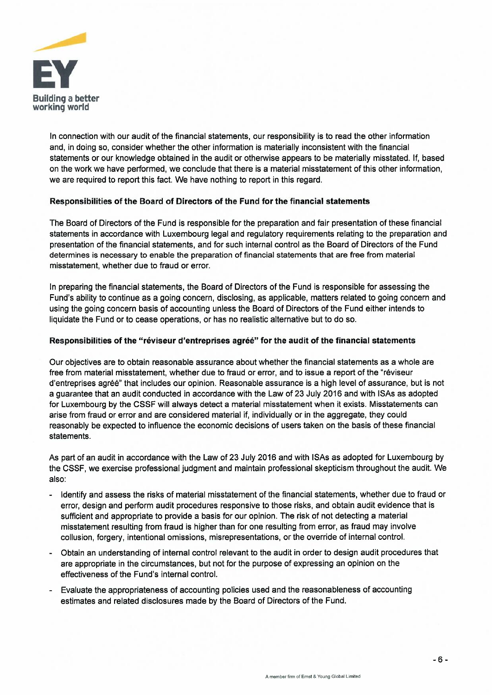

In connection with our audit of the financial statements, our responsibility is to read the other information In connection with our audit of the financial statements, our responsibility is to read the other information and, in doing so, consider whether the other information is materially inconsistent with the financial and, in doing so, consider whether the other information is materially inconsistent with the financial statements or our knowledge obtained in the audit or otherwise appears to be materially misstated. If, based statements or our knowledge obtained in the audit or otherwise appears to be materially misstated. If, based on the work we have performed, we conclude that there is a material misstatement of this other information, on the work we have performed, we conclude that there is a material misstatement of this other information, we are required to report this fact. We have nothing to report in this regard. we are required to report this fact. We have nothing to report in this regard.

#### Responsibilities of the Board of Directors of the Fund for the financial statements **Responsibilities of the Board of Directors of the Fund for the financial statements**

The Board of Directors of the Fund is responsible for the preparation and fair presentation of these financial The Board of Directors of the Fund is responsible for the preparation and fair presentation of these financial statements in accordance with Luxembourg legal and regulatory requirements relating to the preparation and statements in accordance with Luxembourg legal and regulatory requirements relating to the preparation and presentation of the financial statements, and for such internal control as the Board of Directors of the Fund presentation of the financial statements, and for such internal control as the Board of Directors of the Fund determines is necessary to enable the preparation of financial statements that are free from material determines is necessary to enable the preparation of financial statements that are free from material misstatement, whether due to fraud or error. misstatement, whether due to fraud or error.

In preparing the financial statements, the Board of Directors of the Fund is responsible for assessing the In preparing the financial statements, the Board of Directors of the Fund is responsible for assessing the Fund's ability to continue as a going concern, disclosing, as applicable, matters related to going concern and Fund's ability to continue as a going concern, disclosing, as applicable, matters related to going concern and using the going concern basis of accounting unless the Board of Directors of the Fund either intends to using the going concern basis of accounting unless the Board of Directors of the Fund either intends to liquidate the Fund or to cease operations, or has no realistic alternative but to do so. liquidate the Fund or to cease operations, or has no realistic alternative but to do so.

#### Responsibilities of the "réviseur d'entreprises agréé" for the audit of the financial statements

Our objectives are to obtain reasonable assurance about whether the financial statements as a whole are Our objectives are to obtain reasonable assurance about whether the financial statements as a whole are free from material misstatement, whether due to fraud or error, and to issue a report of the "reviseur free from material misstatement, whether due to fraud or error, and to issue a report of the "réviseur d'entreprises agree" that includes our opinion. Reasonable assurance is a high level of assurance, but is not d'entreprises agree" that includes our opinion. Reasonable assurance is a high level of assurance, but is not a guarantee that an audit conducted in accordance with the Law of 23 July 2016 and with ISAs as adopted a guarantee that an audit conducted in accordance with the Law of 23 July 2016 and with lSAs as adopted for Luxembourg by the CSSF will always detect a material misstatement when it exists. Misstatements can for Luxembourg by the CSSF will always detect a material misstatement when it exists. Misstatements can arise from fraud or error and are considered material if, individually or in the aggregate, they could arise from fraud or error and are considered material if, individually or in the aggregate, they could reasonably be expected to influence the economic decisions of users taken on the basis of these financial reasonably be expected to influence the economic decisions of users taken on the basis of these financial statements. statements.

As part of an audit in accordance with the Law of 23 July 2016 and with ISAs as adopted for Luxembourg by As part of an audit in accordance with the Law of 23 July 2016 and with ISAs as adopted for Luxembourg by the CSSF, we exercise professional judgment and maintain professional skepticism throughout the audit. We the CSSF, we exercise professional judgment and maintain professional skepticism throughout the audit. We also: also:

- Identify and assess the risks of material misstatement of the financial statements, whether due to fraud or error, design and perform audit procedures responsive to those risks, and obtain audit evidence that is error, design and perform audit procedures responsive to those risks, and obtain audit evidence that is sufficient and appropriate to provide a basis for our opinion. The risk of not detecting a material sufficient and appropriate to provide a basis for our opinion. The risk of not detecting a material misstatement resulting from fraud is higher than for one resulting from error, as fraud may involve misstatement resulting from fraud is higher than for one resulting from error, as fraud may involve collusion, forgery, intentional omissions, misrepresentations, or the override of internal control. collusion, forgery, intentional omissions, misrepresentations, or the override of internal control.
- Obtain an understanding of internal control relevant to the audit in order to design audit procedures that Obtain an understanding of internal control relevant to the audit in order to design audit procedures that are appropriate in the circumstances, but not for the purpose of expressing an opinion on the are appropriate in the circumstances, but not for the purpose of expressing an opinion on the effectiveness of the Fund's internal control. effectiveness of the Fund's internal control.
- Evaluate the appropriateness of accounting policies used and the reasonableness of accounting Evaluate the appropriateness of accounting policies used and the reasonableness of accounting estimates and related disclosures made by the Board of Directors of the Fund. estimates and related disclosures made by the Board of Directors of the Fund.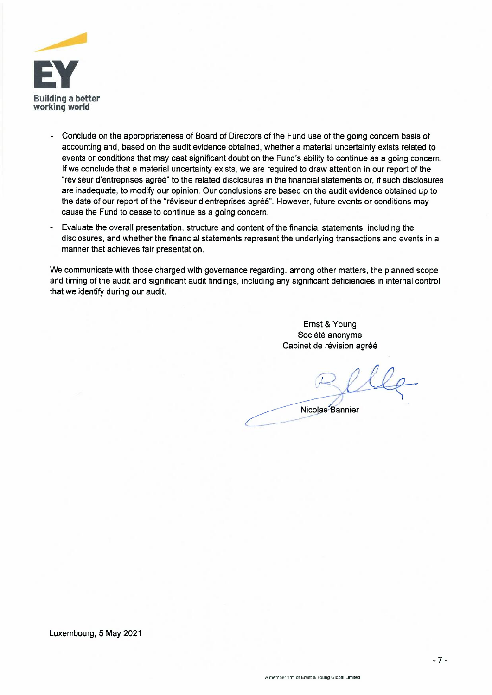

- Conclude on the appropriateness of Board of Directors of the Fund use of the going concern basis of accounting and, based on the audit evidence obtained, whether a material uncertainty exists related to events or conditions that may cast significant doubt on the Fund's ability to continue as a going concern. If we conclude that a material uncertainty exists, we are required to draw attention in our report of the "réviseur d'entreprises agréé" to the related disclosures in the financial statements or, if such disclosures are inadequate, to modify our opinion. Our conclusions are based on the audit evidence obtained up to the date of our report of the "réviseur d'entreprises agréé". However, future events or conditions may cause the Fund to cease to continue as a going concern.
- Evaluate the overall presentation, structure and content of the financial statements, including the disclosures, and whether the financial statements represent the underlying transactions and events in a manner that achieves fair presentation.

We communicate with those charged with governance regarding, among other matters, the planned scope We communicate with those charged with governance regarding, among other matters, the planned scope and timing of the audit and significant audit findings, including any significant deficiencies in internal control that we identify during our audit. that we identify during our audit.

 $\sqrt{ }$ 

Ernst & Young Société anonyme Cabinet de révision agréé

Relle

Nicolas Bannier

Luxembourg, 5 May 2021 Luxembourg, 5 May 2021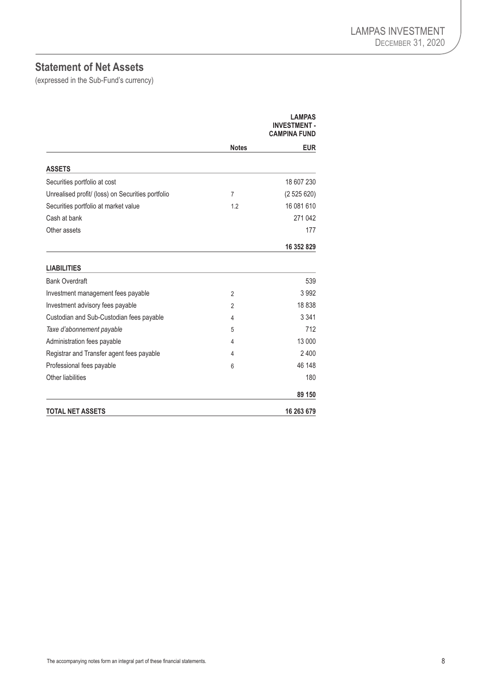# <span id="page-9-0"></span>**Statement of Net Assets**

(expressed in the Sub-Fund's currency)

|                                                   |                | LAMPAS<br><b>INVESTMENT -</b><br><b>CAMPINA FUND</b> |
|---------------------------------------------------|----------------|------------------------------------------------------|
|                                                   | <b>Notes</b>   | <b>EUR</b>                                           |
| <b>ASSETS</b>                                     |                |                                                      |
| Securities portfolio at cost                      |                | 18 607 230                                           |
| Unrealised profit/ (loss) on Securities portfolio | $\overline{7}$ | (2525620)                                            |
| Securities portfolio at market value              | 1.2            | 16 081 610                                           |
| Cash at bank                                      |                | 271 042                                              |
| Other assets                                      |                | 177                                                  |
|                                                   |                | 16 352 829                                           |
| <b>LIABILITIES</b>                                |                |                                                      |
| <b>Bank Overdraft</b>                             |                | 539                                                  |
| Investment management fees payable                | $\overline{2}$ | 3992                                                 |
| Investment advisory fees payable                  | $\overline{2}$ | 18838                                                |
| Custodian and Sub-Custodian fees payable          | 4              | 3 3 4 1                                              |
| Taxe d'abonnement payable                         | 5              | 712                                                  |
| Administration fees payable                       | 4              | 13 000                                               |
| Registrar and Transfer agent fees payable         | 4              | 2400                                                 |
| Professional fees payable                         | 6              | 46 148                                               |
| Other liabilities                                 |                | 180                                                  |
|                                                   |                | 89 150                                               |
| <b>TOTAL NET ASSETS</b>                           |                | 16 263 679                                           |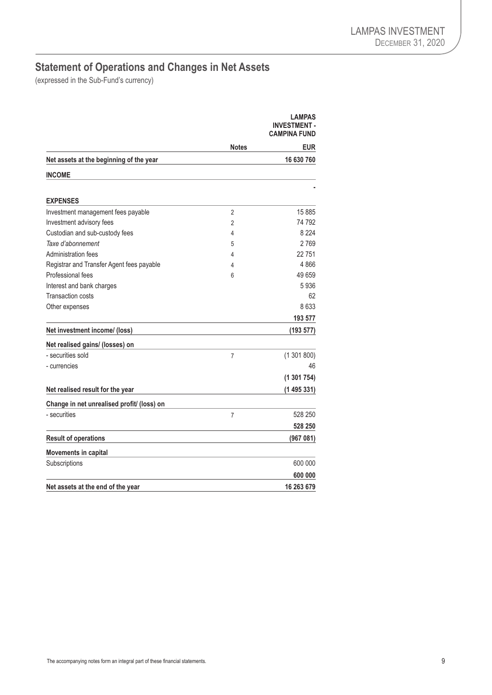# <span id="page-10-0"></span>**Statement of Operations and Changes in Net Assets**

(expressed in the Sub-Fund's currency)

|                                            |                | <b>LAMPAS</b><br><b>INVESTMENT-</b><br><b>CAMPINA FUND</b> |
|--------------------------------------------|----------------|------------------------------------------------------------|
|                                            | Notes          | <b>EUR</b>                                                 |
| Net assets at the beginning of the year    |                | 16 630 760                                                 |
| <b>INCOME</b>                              |                |                                                            |
|                                            |                |                                                            |
| <b>EXPENSES</b>                            |                |                                                            |
| Investment management fees payable         | $\overline{2}$ | 15885                                                      |
| Investment advisory fees                   | $\overline{2}$ | 74 792                                                     |
| Custodian and sub-custody fees             | 4              | 8 2 2 4                                                    |
| Taxe d'abonnement                          | 5              | 2769                                                       |
| Administration fees                        | 4              | 22751                                                      |
| Registrar and Transfer Agent fees payable  | 4              | 4866                                                       |
| Professional fees                          | 6              | 49 659                                                     |
| Interest and bank charges                  |                | 5936                                                       |
| <b>Transaction costs</b>                   |                | 62                                                         |
| Other expenses                             |                | 8633                                                       |
|                                            |                | 193 577                                                    |
| Net investment income/ (loss)              |                | (193 577)                                                  |
| Net realised gains/ (losses) on            |                |                                                            |
| - securities sold                          | $\overline{7}$ | (1301800)                                                  |
| - currencies                               |                | 46                                                         |
|                                            |                | (1301754)                                                  |
| Net realised result for the year           |                | (1495331)                                                  |
| Change in net unrealised profit/ (loss) on |                |                                                            |
| - securities                               | $\overline{7}$ | 528 250                                                    |
|                                            |                | 528 250                                                    |
| <b>Result of operations</b>                |                | (967081)                                                   |
| Movements in capital                       |                |                                                            |
| Subscriptions                              |                | 600 000                                                    |
|                                            |                | 600 000                                                    |
| Net assets at the end of the year          |                | 16 263 679                                                 |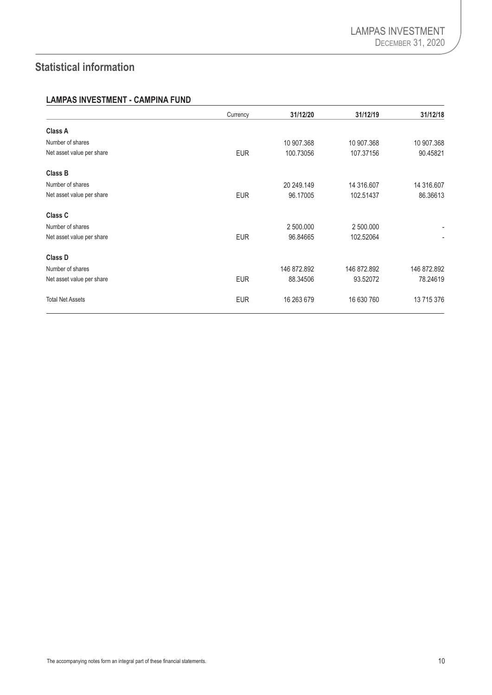# <span id="page-11-0"></span>**Statistical information**

#### **LAMPAS INVESTMENT - CAMPINA FUND**

|                           | Currency   | 31/12/20    | 31/12/19    | 31/12/18       |
|---------------------------|------------|-------------|-------------|----------------|
| <b>Class A</b>            |            |             |             |                |
| Number of shares          |            | 10 907.368  | 10 907.368  | 10 907.368     |
| Net asset value per share | <b>EUR</b> | 100.73056   | 107.37156   | 90.45821       |
| <b>Class B</b>            |            |             |             |                |
| Number of shares          |            | 20 249.149  | 14 316,607  | 14 316,607     |
| Net asset value per share | <b>EUR</b> | 96.17005    | 102.51437   | 86.36613       |
| <b>Class C</b>            |            |             |             |                |
| Number of shares          |            | 2 500,000   | 2 500,000   | $\blacksquare$ |
| Net asset value per share | <b>EUR</b> | 96.84665    | 102.52064   | $\blacksquare$ |
| <b>Class D</b>            |            |             |             |                |
| Number of shares          |            | 146 872.892 | 146 872.892 | 146 872.892    |
| Net asset value per share | <b>EUR</b> | 88.34506    | 93.52072    | 78.24619       |
| <b>Total Net Assets</b>   | <b>EUR</b> | 16 263 679  | 16 630 760  | 13 715 376     |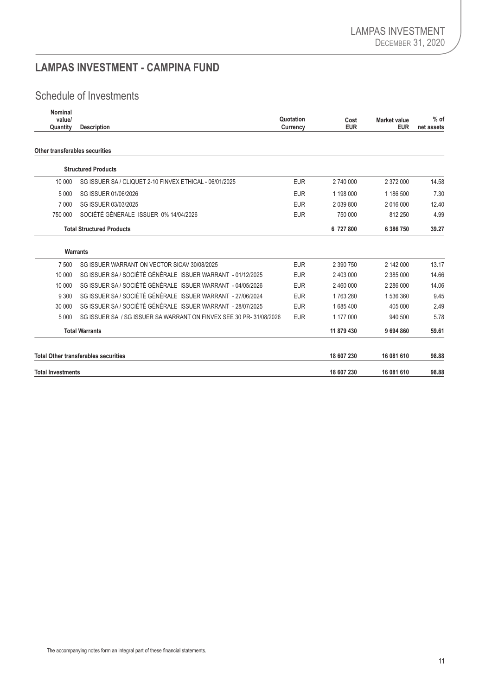# <span id="page-12-0"></span>**LAMPAS INVESTMENT - CAMPINA FUND**

# Schedule of Investments

| Nominal<br>value/<br>Quantity  | <b>Description</b>                                                 |            | Cost<br><b>EUR</b> | <b>Market value</b><br><b>EUR</b> | $%$ of<br>net assets |
|--------------------------------|--------------------------------------------------------------------|------------|--------------------|-----------------------------------|----------------------|
| Other transferables securities |                                                                    |            |                    |                                   |                      |
|                                | <b>Structured Products</b>                                         |            |                    |                                   |                      |
| 10 000                         | SG ISSUER SA / CLIQUET 2-10 FINVEX ETHICAL - 06/01/2025            | <b>EUR</b> | 2 740 000          | 2 372 000                         | 14.58                |
| 5 0 0 0                        | SG ISSUER 01/06/2026                                               | <b>EUR</b> | 1 198 000          | 1 186 500                         | 7.30                 |
| 7 0 0 0                        | SG ISSUER 03/03/2025                                               | <b>EUR</b> | 2 039 800          | 2 016 000                         | 12.40                |
| 750 000                        | SOCIÉTÉ GÉNÉRALE ISSUER 0% 14/04/2026                              | <b>EUR</b> | 750 000            | 812 250                           | 4.99                 |
|                                | <b>Total Structured Products</b>                                   |            | 6 727 800          | 6 386 750                         | 39.27                |
|                                | <b>Warrants</b>                                                    |            |                    |                                   |                      |
| 7 500                          | SG ISSUER WARRANT ON VECTOR SICAV 30/08/2025                       | <b>EUR</b> | 2 390 750          | 2 142 000                         | 13.17                |
| 10 000                         | SG ISSUER SA / SOCIÉTÉ GÉNÉRALE ISSUER WARRANT - 01/12/2025        | <b>EUR</b> | 2 403 000          | 2 385 000                         | 14.66                |
| 10 000                         | SG ISSUER SA / SOCIÉTÉ GÉNÉRALE ISSUER WARRANT - 04/05/2026        | <b>EUR</b> | 2 460 000          | 2 286 000                         | 14.06                |
| 9 3 0 0                        | SG ISSUER SA / SOCIÉTÉ GÉNÉRALE ISSUER WARRANT - 27/06/2024        | <b>EUR</b> | 1763280            | 1 536 360                         | 9.45                 |
| 30 000                         | SG ISSUER SA / SOCIÉTÉ GÉNÉRALE ISSUER WARRANT - 28/07/2025        | <b>EUR</b> | 1685400            | 405 000                           | 2.49                 |
| 5000                           | SG ISSUER SA / SG ISSUER SA WARRANT ON FINVEX SEE 30 PR-31/08/2026 | <b>EUR</b> | 1 177 000          | 940 500                           | 5.78                 |
|                                | <b>Total Warrants</b>                                              |            | 11 879 430         | 9 694 860                         | 59.61                |
|                                | <b>Total Other transferables securities</b>                        |            | 18 607 230         | 16 081 610                        | 98.88                |
| <b>Total Investments</b>       |                                                                    |            | 18 607 230         | 16 081 610                        | 98.88                |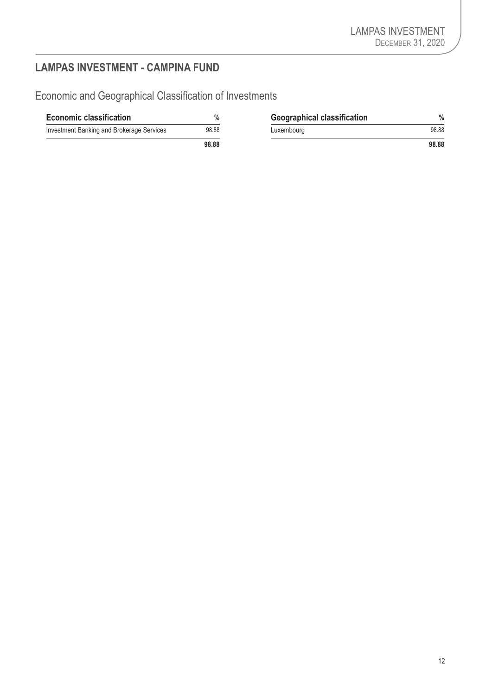# <span id="page-13-0"></span>**LAMPAS INVESTMENT - CAMPINA FUND**

Economic and Geographical Classification of Investments

| <b>Economic classification</b>            | $\%$  | <b>Geographical classification</b> | %     |
|-------------------------------------------|-------|------------------------------------|-------|
| Investment Banking and Brokerage Services | 98.88 | Luxembourg                         | 98.88 |
|                                           | 98.88 |                                    | 98.88 |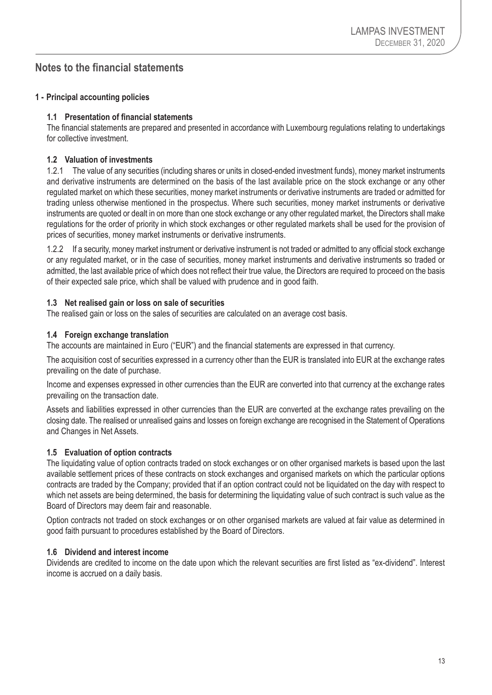# <span id="page-14-0"></span>**Notes to the financial statements**

#### **1 - Principal accounting policies**

#### **1.1 Presentation of financial statements**

The financial statements are prepared and presented in accordance with Luxembourg regulations relating to undertakings for collective investment.

#### **1.2 Valuation of investments**

1.2.1 The value of any securities (including shares or units in closed-ended investment funds), money market instruments and derivative instruments are determined on the basis of the last available price on the stock exchange or any other regulated market on which these securities, money market instruments or derivative instruments are traded or admitted for trading unless otherwise mentioned in the prospectus. Where such securities, money market instruments or derivative instruments are quoted or dealt in on more than one stock exchange or any other regulated market, the Directors shall make regulations for the order of priority in which stock exchanges or other regulated markets shall be used for the provision of prices of securities, money market instruments or derivative instruments.

1.2.2 If a security, money market instrument or derivative instrument is not traded or admitted to any official stock exchange or any regulated market, or in the case of securities, money market instruments and derivative instruments so traded or admitted, the last available price of which does not reflect their true value, the Directors are required to proceed on the basis of their expected sale price, which shall be valued with prudence and in good faith.

#### **1.3 Net realised gain or loss on sale of securities**

The realised gain or loss on the sales of securities are calculated on an average cost basis.

#### **1.4 Foreign exchange translation**

The accounts are maintained in Euro ("EUR") and the financial statements are expressed in that currency.

The acquisition cost of securities expressed in a currency other than the EUR is translated into EUR at the exchange rates prevailing on the date of purchase.

Income and expenses expressed in other currencies than the EUR are converted into that currency at the exchange rates prevailing on the transaction date.

Assets and liabilities expressed in other currencies than the EUR are converted at the exchange rates prevailing on the closing date. The realised or unrealised gains and losses on foreign exchange are recognised in the Statement of Operations and Changes in Net Assets.

#### **1.5 Evaluation of option contracts**

The liquidating value of option contracts traded on stock exchanges or on other organised markets is based upon the last available settlement prices of these contracts on stock exchanges and organised markets on which the particular options contracts are traded by the Company; provided that if an option contract could not be liquidated on the day with respect to which net assets are being determined, the basis for determining the liquidating value of such contract is such value as the Board of Directors may deem fair and reasonable.

Option contracts not traded on stock exchanges or on other organised markets are valued at fair value as determined in good faith pursuant to procedures established by the Board of Directors.

#### **1.6 Dividend and interest income**

Dividends are credited to income on the date upon which the relevant securities are first listed as "ex-dividend". Interest income is accrued on a daily basis.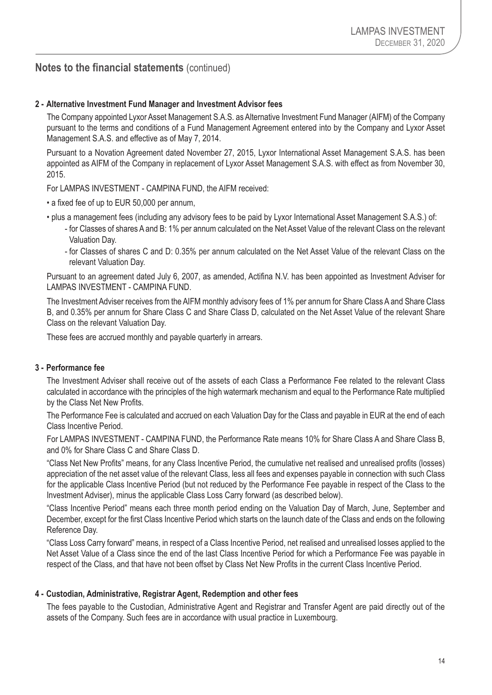#### **Notes to the financial statements** (continued)

#### **2 - Alternative Investment Fund Manager and Investment Advisor fees**

The Company appointed Lyxor Asset Management S.A.S. as Alternative Investment Fund Manager (AIFM) of the Company pursuant to the terms and conditions of a Fund Management Agreement entered into by the Company and Lyxor Asset Management S.A.S. and effective as of May 7, 2014.

Pursuant to a Novation Agreement dated November 27, 2015, Lyxor International Asset Management S.A.S. has been appointed as AIFM of the Company in replacement of Lyxor Asset Management S.A.S. with effect as from November 30, 2015.

For LAMPAS INVESTMENT - CAMPINA FUND, the AIFM received:

- a fixed fee of up to EUR 50,000 per annum,
- plus a management fees (including any advisory fees to be paid by Lyxor International Asset Management S.A.S.) of:
	- for Classes of shares A and B: 1% per annum calculated on the Net Asset Value of the relevant Class on the relevant Valuation Day.
	- for Classes of shares C and D: 0.35% per annum calculated on the Net Asset Value of the relevant Class on the relevant Valuation Day.

Pursuant to an agreement dated July 6, 2007, as amended, Actifina N.V. has been appointed as Investment Adviser for LAMPAS INVESTMENT - CAMPINA FUND.

The Investment Adviser receives from the AIFM monthly advisory fees of 1% per annum for Share Class A and Share Class B, and 0.35% per annum for Share Class C and Share Class D, calculated on the Net Asset Value of the relevant Share Class on the relevant Valuation Day.

These fees are accrued monthly and payable quarterly in arrears.

#### **3 - Performance fee**

The Investment Adviser shall receive out of the assets of each Class a Performance Fee related to the relevant Class calculated in accordance with the principles of the high watermark mechanism and equal to the Performance Rate multiplied by the Class Net New Profits.

The Performance Fee is calculated and accrued on each Valuation Day for the Class and payable in EUR at the end of each Class Incentive Period.

For LAMPAS INVESTMENT - CAMPINA FUND, the Performance Rate means 10% for Share Class A and Share Class B, and 0% for Share Class C and Share Class D.

"Class Net New Profits" means, for any Class Incentive Period, the cumulative net realised and unrealised profits (losses) appreciation of the net asset value of the relevant Class, less all fees and expenses payable in connection with such Class for the applicable Class Incentive Period (but not reduced by the Performance Fee payable in respect of the Class to the Investment Adviser), minus the applicable Class Loss Carry forward (as described below).

"Class Incentive Period" means each three month period ending on the Valuation Day of March, June, September and December, except for the first Class Incentive Period which starts on the launch date of the Class and ends on the following Reference Day.

"Class Loss Carry forward" means, in respect of a Class Incentive Period, net realised and unrealised losses applied to the Net Asset Value of a Class since the end of the last Class Incentive Period for which a Performance Fee was payable in respect of the Class, and that have not been offset by Class Net New Profits in the current Class Incentive Period.

#### **4 - Custodian, Administrative, Registrar Agent, Redemption and other fees**

The fees payable to the Custodian, Administrative Agent and Registrar and Transfer Agent are paid directly out of the assets of the Company. Such fees are in accordance with usual practice in Luxembourg.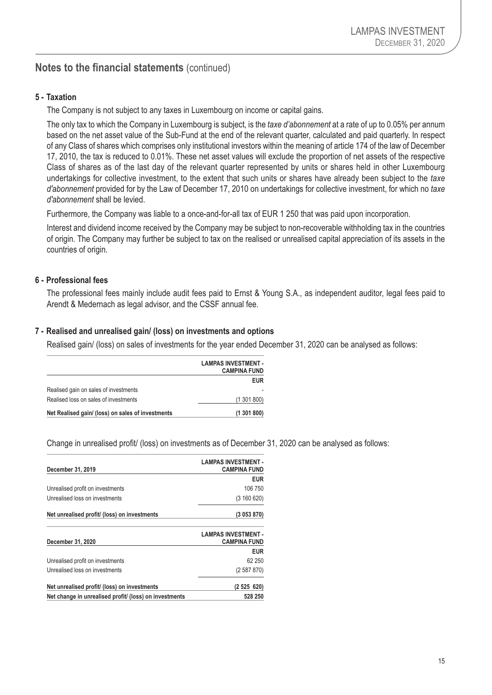# **Notes to the financial statements** (continued)

#### **5 - Taxation**

The Company is not subject to any taxes in Luxembourg on income or capital gains.

The only tax to which the Company in Luxembourg is subject, is the *taxe d'abonnement* at a rate of up to 0.05% per annum based on the net asset value of the Sub-Fund at the end of the relevant quarter, calculated and paid quarterly. In respect of any Class of shares which comprises only institutional investors within the meaning of article 174 of the law of December 17, 2010, the tax is reduced to 0.01%. These net asset values will exclude the proportion of net assets of the respective Class of shares as of the last day of the relevant quarter represented by units or shares held in other Luxembourg undertakings for collective investment, to the extent that such units or shares have already been subject to the *taxe d'abonnement* provided for by the Law of December 17, 2010 on undertakings for collective investment, for which no *taxe d'abonnement* shall be levied.

Furthermore, the Company was liable to a once-and-for-all tax of EUR 1 250 that was paid upon incorporation.

Interest and dividend income received by the Company may be subject to non-recoverable withholding tax in the countries of origin. The Company may further be subject to tax on the realised or unrealised capital appreciation of its assets in the countries of origin.

#### **6 - Professional fees**

The professional fees mainly include audit fees paid to Ernst & Young S.A., as independent auditor, legal fees paid to Arendt & Medernach as legal advisor, and the CSSF annual fee.

#### **7 - Realised and unrealised gain/ (loss) on investments and options**

Realised gain/ (loss) on sales of investments for the year ended December 31, 2020 can be analysed as follows:

|                                                   | <b>LAMPAS INVESTMENT -</b><br><b>CAMPINA FUND</b> |
|---------------------------------------------------|---------------------------------------------------|
|                                                   | <b>EUR</b>                                        |
| Realised gain on sales of investments             |                                                   |
| Realised loss on sales of investments             | (1301800)                                         |
| Net Realised gain/ (loss) on sales of investments | (1301800)                                         |

Change in unrealised profit/ (loss) on investments as of December 31, 2020 can be analysed as follows:

| December 31, 2019                                      | <b>LAMPAS INVESTMENT -</b><br><b>CAMPINA FUND</b> |
|--------------------------------------------------------|---------------------------------------------------|
|                                                        | <b>EUR</b>                                        |
| Unrealised profit on investments                       | 106 750                                           |
| Unrealised loss on investments                         | (3 160 620)                                       |
| Net unrealised profit/ (loss) on investments           | (3053870)                                         |
| December 31, 2020                                      | <b>LAMPAS INVESTMENT -</b><br><b>CAMPINA FUND</b> |
|                                                        | <b>EUR</b>                                        |
| Unrealised profit on investments                       | 62 250                                            |
| Unrealised loss on investments                         | (2587870)                                         |
| Net unrealised profit/ (loss) on investments           | (2525620)                                         |
| Net change in unrealised profit/ (loss) on investments | 528 250                                           |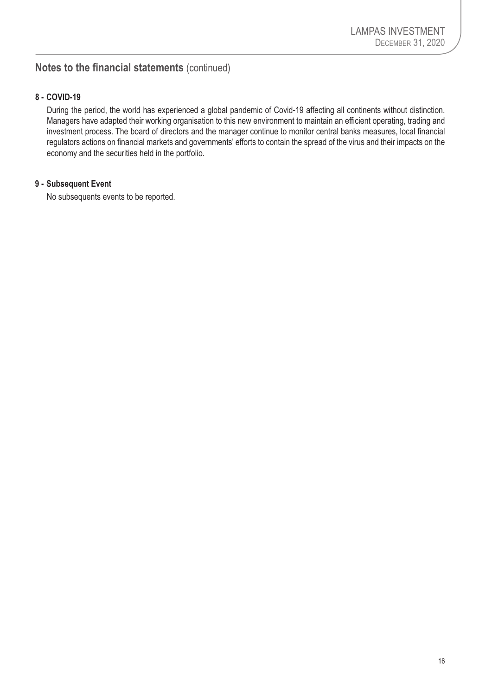# **Notes to the financial statements** (continued)

#### **8 - COVID-19**

During the period, the world has experienced a global pandemic of Covid-19 affecting all continents without distinction. Managers have adapted their working organisation to this new environment to maintain an efficient operating, trading and investment process. The board of directors and the manager continue to monitor central banks measures, local financial regulators actions on financial markets and governments' efforts to contain the spread of the virus and their impacts on the economy and the securities held in the portfolio.

#### **9 - Subsequent Event**

No subsequents events to be reported.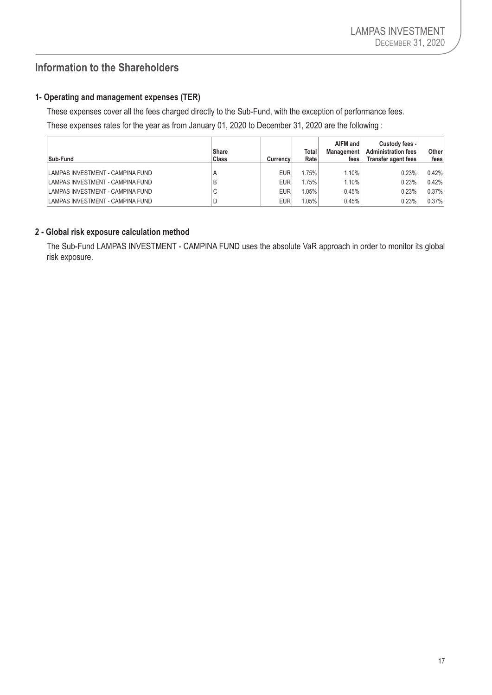# <span id="page-18-0"></span>**Information to the Shareholders**

#### **1- Operating and management expenses (TER)**

These expenses cover all the fees charged directly to the Sub-Fund, with the exception of performance fees.

These expenses rates for the year as from January 01, 2020 to December 31, 2020 are the following :

| Sub-Fund                         | Share<br>Class | Currency   | Total<br>Rate | AIFM and<br><b>Management</b><br>fees | Custody fees -<br><b>Administration fees</b><br>Transfer agent fees | Other<br>fees |
|----------------------------------|----------------|------------|---------------|---------------------------------------|---------------------------------------------------------------------|---------------|
| LAMPAS INVESTMENT - CAMPINA FUND | A              | <b>EUR</b> | .75%          | 1.10%                                 | 0.23%                                                               | 0.42%         |
| LAMPAS INVESTMENT - CAMPINA FUND | Е              | <b>EUR</b> | .75%          | 1.10%                                 | 0.23%                                                               | 0.42%         |
| LAMPAS INVESTMENT - CAMPINA FUND | $\sim$<br>U    | <b>EUR</b> | $1.05\%$      | 0.45%                                 | 0.23%                                                               | 0.37%         |
| LAMPAS INVESTMENT - CAMPINA FUND |                | <b>EUR</b> | $1.05\%$      | 0.45%                                 | 0.23%                                                               | 0.37%         |

#### **2 - Global risk exposure calculation method**

The Sub-Fund LAMPAS INVESTMENT - CAMPINA FUND uses the absolute VaR approach in order to monitor its global risk exposure.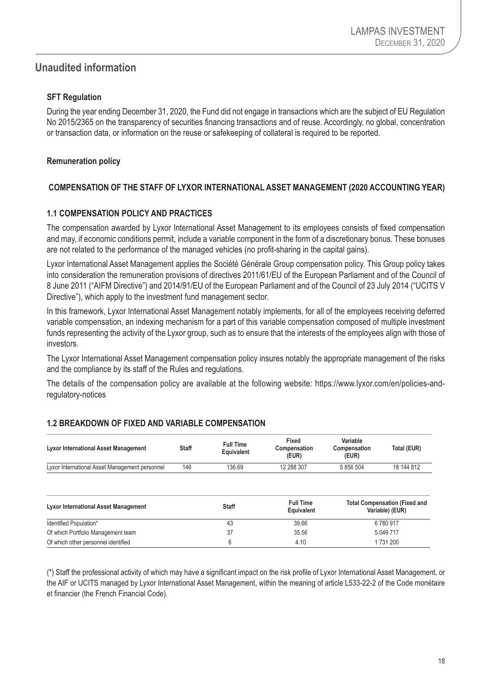# <span id="page-19-0"></span>**Unaudited information**

#### **SFT Regulation**

During the year ending December 31, 2020, the Fund did not engage in transactions which are the subject of EU Regulation No 2015/2365 on the transparency of securities financing transactions and of reuse. Accordingly, no global, concentration or transaction data, or information on the reuse or safekeeping of collateral is required to be reported.

#### **Remuneration policy**

#### **COMPENSATION OF THE STAFF OF LYXOR INTERNATIONAL ASSET MANAGEMENT (2020 ACCOUNTING YEAR)**

#### **1.1 COMPENSATION POLICY AND PRACTICES**

The compensation awarded by Lyxor International Asset Management to its employees consists of fixed compensation and may, if economic conditions permit, include a variable component in the form of a discretionary bonus. These bonuses are not related to the performance of the managed vehicles (no profit-sharing in the capital gains).

Lyxor International Asset Management applies the Société Générale Group compensation policy. This Group policy takes into consideration the remuneration provisions of directives 2011/61/EU of the European Parliament and of the Council of 8 June 2011 ("AIFM Directive") and 2014/91/EU of the European Parliament and of the Council of 23 July 2014 ("UCITS V Directive"), which apply to the investment fund management sector.

In this framework, Lyxor International Asset Management notably implements, for all of the employees receiving deferred variable compensation, an indexing mechanism for a part of this variable compensation composed of multiple investment funds representing the activity of the Lyxor group, such as to ensure that the interests of the employees align with those of investors.

The Lyxor International Asset Management compensation policy insures notably the appropriate management of the risks and the compliance by its staff of the Rules and regulations.

The details of the compensation policy are available at the following website: https://www.lyxor.com/en/policies-andregulatory-notices

| <b>Lyxor International Asset Management</b>    | <b>Staff</b> | <b>Full Time</b><br>Equivalent | Fixed<br>Compensation<br>(EUR)        | Variable<br>Compensation<br>(EUR) | Total (EUR)                                             |  |
|------------------------------------------------|--------------|--------------------------------|---------------------------------------|-----------------------------------|---------------------------------------------------------|--|
| Lyxor International Asset Management personnel | 146          | 136.69                         | 12 288 307                            | 5 856 504                         | 18 144 812                                              |  |
| <b>Lyxor International Asset Management</b>    |              | <b>Staff</b>                   | <b>Full Time</b><br><b>Equivalent</b> |                                   | <b>Total Compensation (Fixed and</b><br>Variable) (EUR) |  |
| Identified Population*                         |              | 43                             | 39.66                                 |                                   | 6780917                                                 |  |
| Of which Portfolio Management team             |              | 37                             | 35.56                                 |                                   | 5 049 717                                               |  |
| Of which other personnel identified            |              | 6                              | 4.10                                  |                                   | 1731200                                                 |  |

#### **1.2 BREAKDOWN OF FIXED AND VARIABLE COMPENSATION**

(\*) Staff the professional activity of which may have a significant impact on the risk profile of Lyxor International Asset Management, or the AIF or UCITS managed by Lyxor International Asset Management, within the meaning of article L533-22-2 of the Code monétaire et financier (the French Financial Code).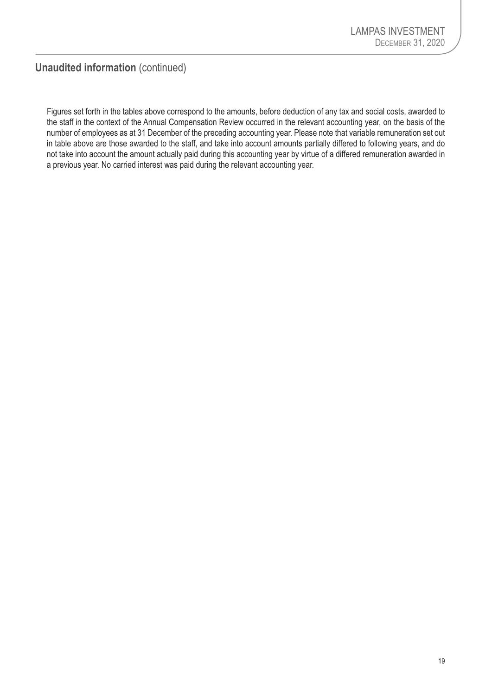**Unaudited information** (continued)

Figures set forth in the tables above correspond to the amounts, before deduction of any tax and social costs, awarded to the staff in the context of the Annual Compensation Review occurred in the relevant accounting year, on the basis of the number of employees as at 31 December of the preceding accounting year. Please note that variable remuneration set out in table above are those awarded to the staff, and take into account amounts partially differed to following years, and do not take into account the amount actually paid during this accounting year by virtue of a differed remuneration awarded in a previous year. No carried interest was paid during the relevant accounting year.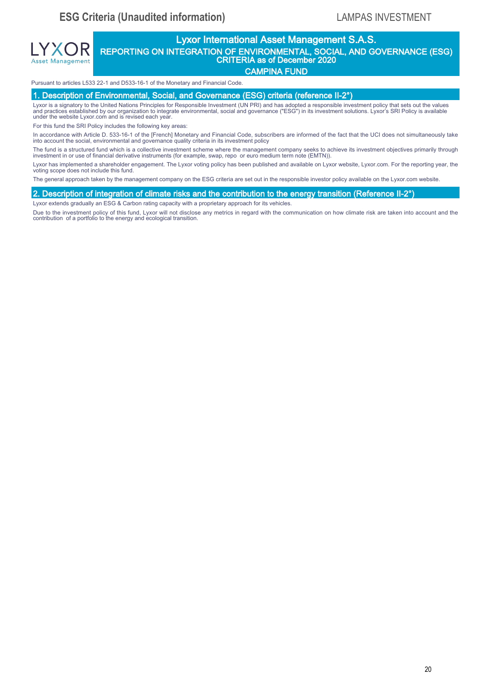# Lyxor International Asset Management S.A.S. REPORTING ON INTEGRATION OF ENVIRONMENTAL, SOCIAL, AND GOVERNANCE (ESG) CRITERIA as of December 2020 **ESG Criteria (Unaudited information)**<br>
20 **EXPLE CRITERIA CONTINUATION CONTINUATION**<br>
20 **EXPLE CRITERIA CONTINUATION CONTINUATION**<br>
20 **CARPINA CONTINUATION**<br>
20 **CARPINA CONTINUATION**<br>
20 **CARPINA CONTINUATION**<br>
20 **CAR** LYXOR REPOR

CAMPINA FUND

#### Pursuant to articles L533 22-1 and D533-16-1 of the Monetary and Financial Code.

1. Description of Environmental, Social, and Governance (ESG) criteria (reference II-2°)

Lyxor is a signatory to the United Nations Principles for Responsible Investment (UN PRI) and has adopted a responsible investment policy that sets out the values and practices established by our organization to integrate environmental, social and governance ("ESG") in its investment solutions. Lyxor's SRI Policy is available under the website Lyxor.com and is revised each year.

For this fund the SRI Policy includes the following key areas:

Asset Management

In accordance with Article D. 533-16-1 of the [French] Monetary and Financial Code, subscribers are informed of the fact that the UCI does not simultaneously take into account the social, environmental and governance quality criteria in its investment policy

The fund is a structured fund which is a collective investment scheme where the management company seeks to achieve its investment objectives primarily through<br>investment in or use of financial derivative instruments (for

Lyxor has implemented a shareholder engagement. The Lyxor voting policy has been published and available on Lyxor website, Lyxor.com. For the reporting year, the voting scope does not include this fund.

The general approach taken by the management company on the ESG criteria are set out in the responsible investor policy available on the Lyxor.com website.

#### 2. Description of integration of climate risks and the contribution to the energy transition (Reference II-2°)

Lyxor extends gradually an ESG & Carbon rating capacity with a proprietary approach for its vehicles.

Due to the investment policy of this fund, Lyxor will not disclose any metrics in regard with the communication on how climate risk are taken into account and the<br>contribution of a portfolio to the energy and ecological t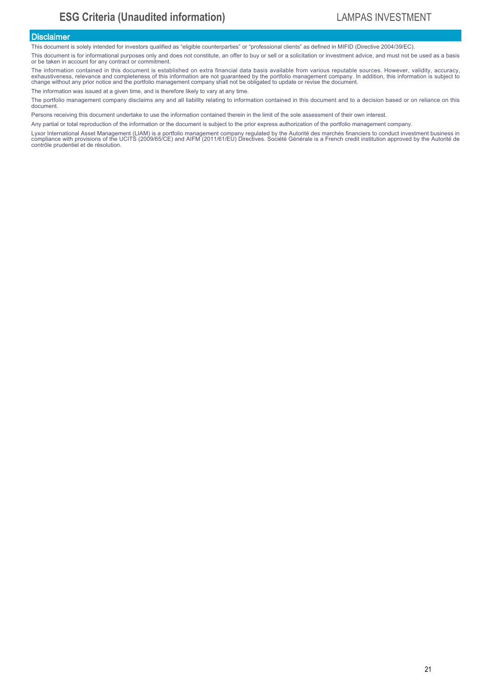#### **Disclaimer**

This document is solely intended for investors qualified as "eligible counterparties" or "professional clients" as defined in MIFID (Directive 2004/39/EC).

This document is for informational purposes only and does not constitute, an offer to buy or sell or a solicitation or investment advice, and must not be used as a basis or be taken in account for any contract or commitment.

The information contained in this document is established on extra financial data basis available from various reputable sources. However, validity, accuracy, exhaustiveness, relevance and completeness of this information are not guaranteed by the portfolio management company. In addition, this information is subject to<br>change without any prior notice and the portfolio managemen **ESG**<br> **ESG**<br> **EXECUTE:**<br> **EXECUTE:**<br> **EXECUTE:**<br> **EXECUTE:**<br> **EXECUTE:**<br> **EXECUTE:**<br> **EXECUTE:**<br> **EXECUTE:**<br> **EXECUTE:**<br> **EXECUTE:**<br> **EXECUTE:**<br> **EXECUTE:**<br> **EXECUTE:**<br> **EXECUTE:**<br> **EXECUTE:**<br> **EXECUTE:**<br> **EXECUTE:**<br> **EXE** 

The information was issued at a given time, and is therefore likely to vary at any time.

The portfolio management company disclaims any and all liability relating to information contained in this document and to a decision based or on reliance on this document.

Persons receiving this document undertake to use the information contained therein in the limit of the sole assessment of their own interest.

Any partial or total reproduction of the information or the document is subject to the prior express authorization of the portfolio management company.

Lyxor International Asset Management (LIAM) is a portfolio management company regulated by the Autorité des marchés financiers to conduct investment business in<br>compliance with provisions of the UCITS (2009/65/CE) and AIFM